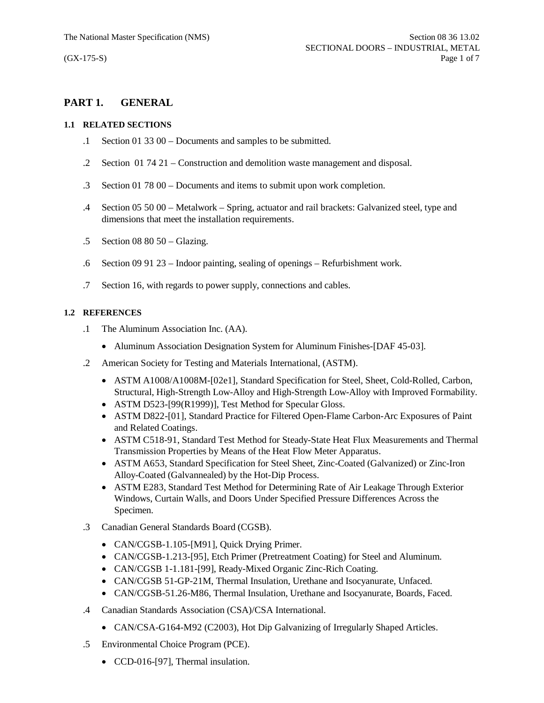# **PART 1. GENERAL**

### **1.1 RELATED SECTIONS**

- .1 Section 01 33 00 Documents and samples to be submitted.
- .2 Section 01 74 21 Construction and demolition waste management and disposal.
- .3 Section 01 78 00 Documents and items to submit upon work completion.
- .4 Section 05 50 00 Metalwork Spring, actuator and rail brackets: Galvanized steel, type and dimensions that meet the installation requirements.
- .5 Section 08 80 50 Glazing.
- .6 Section 09 91 23 Indoor painting, sealing of openings Refurbishment work.
- .7 Section 16, with regards to power supply, connections and cables.

## **1.2 REFERENCES**

- .1 The Aluminum Association Inc. (AA).
	- Aluminum Association Designation System for Aluminum Finishes-[DAF 45-03].
- .2 American Society for Testing and Materials International, (ASTM).
	- · ASTM A1008/A1008M-[02e1], Standard Specification for Steel, Sheet, Cold-Rolled, Carbon, Structural, High-Strength Low-Alloy and High-Strength Low-Alloy with Improved Formability.
	- ASTM D523-[99(R1999)], Test Method for Specular Gloss.
	- · ASTM D822-[01], Standard Practice for Filtered Open-Flame Carbon-Arc Exposures of Paint and Related Coatings.
	- · ASTM C518-91, Standard Test Method for Steady-State Heat Flux Measurements and Thermal Transmission Properties by Means of the Heat Flow Meter Apparatus.
	- · ASTM A653, Standard Specification for Steel Sheet, Zinc-Coated (Galvanized) or Zinc-Iron Alloy-Coated (Galvannealed) by the Hot-Dip Process.
	- · ASTM E283, Standard Test Method for Determining Rate of Air Leakage Through Exterior Windows, Curtain Walls, and Doors Under Specified Pressure Differences Across the Specimen.
- .3 Canadian General Standards Board (CGSB).
	- CAN/CGSB-1.105-[M91], Quick Drying Primer.
	- · CAN/CGSB-1.213-[95], Etch Primer (Pretreatment Coating) for Steel and Aluminum.
	- · CAN/CGSB 1-1.181-[99], Ready-Mixed Organic Zinc-Rich Coating.
	- · CAN/CGSB 51-GP-21M, Thermal Insulation, Urethane and Isocyanurate, Unfaced.
	- · CAN/CGSB-51.26-M86, Thermal Insulation, Urethane and Isocyanurate, Boards, Faced.
- .4 Canadian Standards Association (CSA)/CSA International.
	- CAN/CSA-G164-M92 (C2003), Hot Dip Galvanizing of Irregularly Shaped Articles.
- .5 Environmental Choice Program (PCE).
	- CCD-016-[97], Thermal insulation.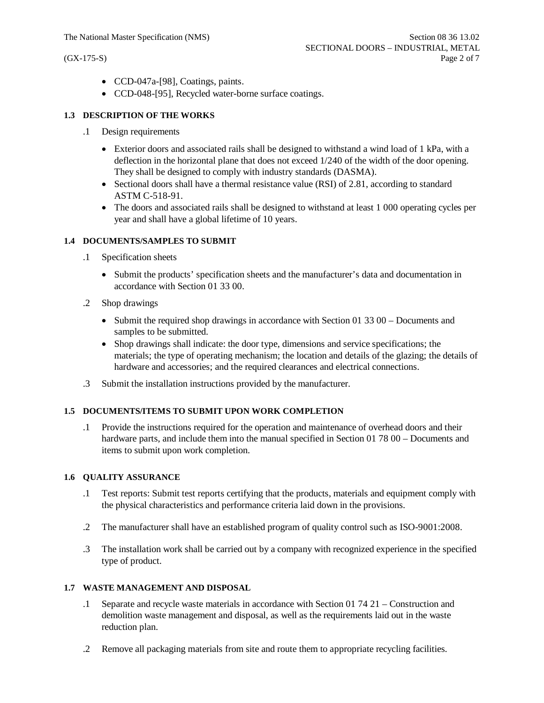- · CCD-047a-[98], Coatings, paints.
- · CCD-048-[95], Recycled water-borne surface coatings.

#### **1.3 DESCRIPTION OF THE WORKS**

- .1 Design requirements
	- Exterior doors and associated rails shall be designed to withstand a wind load of 1 kPa, with a deflection in the horizontal plane that does not exceed 1/240 of the width of the door opening. They shall be designed to comply with industry standards (DASMA).
	- Sectional doors shall have a thermal resistance value (RSI) of 2.81, according to standard ASTM C-518-91.
	- The doors and associated rails shall be designed to withstand at least 1 000 operating cycles per year and shall have a global lifetime of 10 years.

#### **1.4 DOCUMENTS/SAMPLES TO SUBMIT**

- .1 Specification sheets
	- · Submit the products' specification sheets and the manufacturer's data and documentation in accordance with Section 01 33 00.
- .2 Shop drawings
	- Submit the required shop drawings in accordance with Section 01 33 00 Documents and samples to be submitted.
	- · Shop drawings shall indicate: the door type, dimensions and service specifications; the materials; the type of operating mechanism; the location and details of the glazing; the details of hardware and accessories; and the required clearances and electrical connections.
- .3 Submit the installation instructions provided by the manufacturer.

### **1.5 DOCUMENTS/ITEMS TO SUBMIT UPON WORK COMPLETION**

.1 Provide the instructions required for the operation and maintenance of overhead doors and their hardware parts, and include them into the manual specified in Section 01 78 00 – Documents and items to submit upon work completion.

#### **1.6 QUALITY ASSURANCE**

- .1 Test reports: Submit test reports certifying that the products, materials and equipment comply with the physical characteristics and performance criteria laid down in the provisions.
- .2 The manufacturer shall have an established program of quality control such as ISO-9001:2008.
- .3 The installation work shall be carried out by a company with recognized experience in the specified type of product.

#### **1.7 WASTE MANAGEMENT AND DISPOSAL**

- .1 Separate and recycle waste materials in accordance with Section 01 74 21 Construction and demolition waste management and disposal, as well as the requirements laid out in the waste reduction plan.
- .2 Remove all packaging materials from site and route them to appropriate recycling facilities.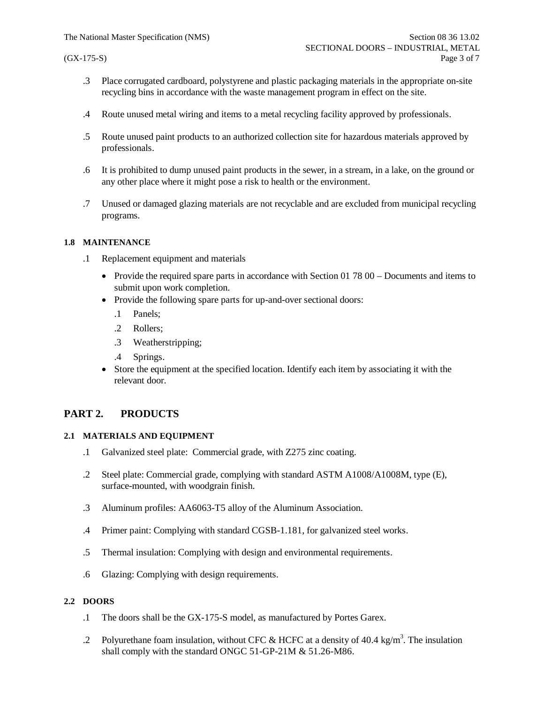- .3 Place corrugated cardboard, polystyrene and plastic packaging materials in the appropriate on-site recycling bins in accordance with the waste management program in effect on the site.
- .4 Route unused metal wiring and items to a metal recycling facility approved by professionals.
- .5 Route unused paint products to an authorized collection site for hazardous materials approved by professionals.
- .6 It is prohibited to dump unused paint products in the sewer, in a stream, in a lake, on the ground or any other place where it might pose a risk to health or the environment.
- .7 Unused or damaged glazing materials are not recyclable and are excluded from municipal recycling programs.

#### **1.8 MAINTENANCE**

- .1 Replacement equipment and materials
	- Provide the required spare parts in accordance with Section 01 78 00 Documents and items to submit upon work completion.
	- Provide the following spare parts for up-and-over sectional doors:
		- .1 Panels;
		- .2 Rollers;
		- .3 Weatherstripping;
		- .4 Springs.
	- Store the equipment at the specified location. Identify each item by associating it with the relevant door.

## **PART 2. PRODUCTS**

### **2.1 MATERIALS AND EQUIPMENT**

- .1 Galvanized steel plate: Commercial grade, with Z275 zinc coating.
- .2 Steel plate: Commercial grade, complying with standard ASTM A1008/A1008M, type (E), surface-mounted, with woodgrain finish.
- .3 Aluminum profiles: AA6063-T5 alloy of the Aluminum Association.
- .4 Primer paint: Complying with standard CGSB-1.181, for galvanized steel works.
- .5 Thermal insulation: Complying with design and environmental requirements.
- .6 Glazing: Complying with design requirements.

### **2.2 DOORS**

- .1 The doors shall be the GX-175-S model, as manufactured by Portes Garex.
- .2 Polyurethane foam insulation, without CFC & HCFC at a density of 40.4 kg/m<sup>3</sup>. The insulation shall comply with the standard ONGC 51-GP-21M & 51.26-M86.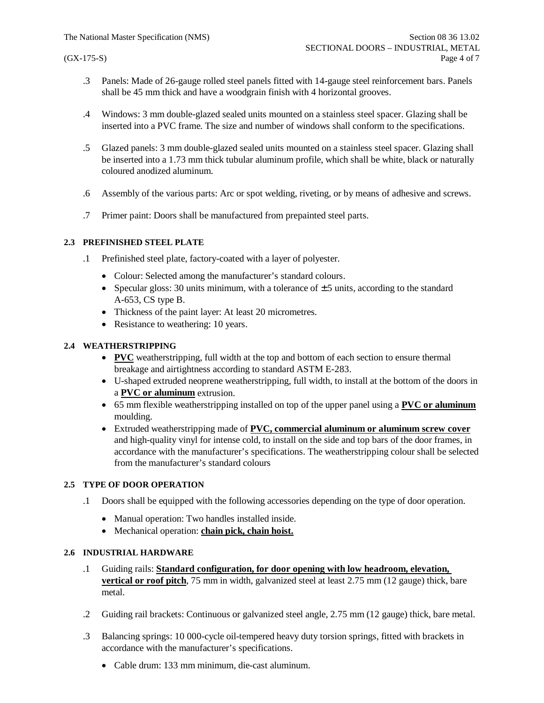- .3 Panels: Made of 26-gauge rolled steel panels fitted with 14-gauge steel reinforcement bars. Panels shall be 45 mm thick and have a woodgrain finish with 4 horizontal grooves.
- .4 Windows: 3 mm double-glazed sealed units mounted on a stainless steel spacer. Glazing shall be inserted into a PVC frame. The size and number of windows shall conform to the specifications.
- .5 Glazed panels: 3 mm double-glazed sealed units mounted on a stainless steel spacer. Glazing shall be inserted into a 1.73 mm thick tubular aluminum profile, which shall be white, black or naturally coloured anodized aluminum.
- .6 Assembly of the various parts: Arc or spot welding, riveting, or by means of adhesive and screws.
- .7 Primer paint: Doors shall be manufactured from prepainted steel parts.

### **2.3 PREFINISHED STEEL PLATE**

- .1 Prefinished steel plate, factory-coated with a layer of polyester.
	- Colour: Selected among the manufacturer's standard colours.
	- Specular gloss: 30 units minimum, with a tolerance of  $\pm$  5 units, according to the standard A-653, CS type B.
	- · Thickness of the paint layer: At least 20 micrometres.
	- Resistance to weathering: 10 years.

## **2.4 WEATHERSTRIPPING**

- · **PVC** weatherstripping, full width at the top and bottom of each section to ensure thermal breakage and airtightness according to standard ASTM E-283.
- · U-shaped extruded neoprene weatherstripping, full width, to install at the bottom of the doors in a **PVC or aluminum** extrusion.
- · 65 mm flexible weatherstripping installed on top of the upper panel using a **PVC or aluminum** moulding.
- · Extruded weatherstripping made of **PVC, commercial aluminum or aluminum screw cover** and high-quality vinyl for intense cold, to install on the side and top bars of the door frames, in accordance with the manufacturer's specifications. The weatherstripping colour shall be selected from the manufacturer's standard colours

### **2.5 TYPE OF DOOR OPERATION**

- .1 Doors shall be equipped with the following accessories depending on the type of door operation.
	- · Manual operation: Two handles installed inside.
	- · Mechanical operation: **chain pick, chain hoist.**

### **2.6 INDUSTRIAL HARDWARE**

- .1 Guiding rails: **Standard configuration, for door opening with low headroom, elevation, vertical or roof pitch**, 75 mm in width, galvanized steel at least 2.75 mm (12 gauge) thick, bare metal.
- .2 Guiding rail brackets: Continuous or galvanized steel angle, 2.75 mm (12 gauge) thick, bare metal.
- .3 Balancing springs: 10 000-cycle oil-tempered heavy duty torsion springs, fitted with brackets in accordance with the manufacturer's specifications.
	- · Cable drum: 133 mm minimum, die-cast aluminum.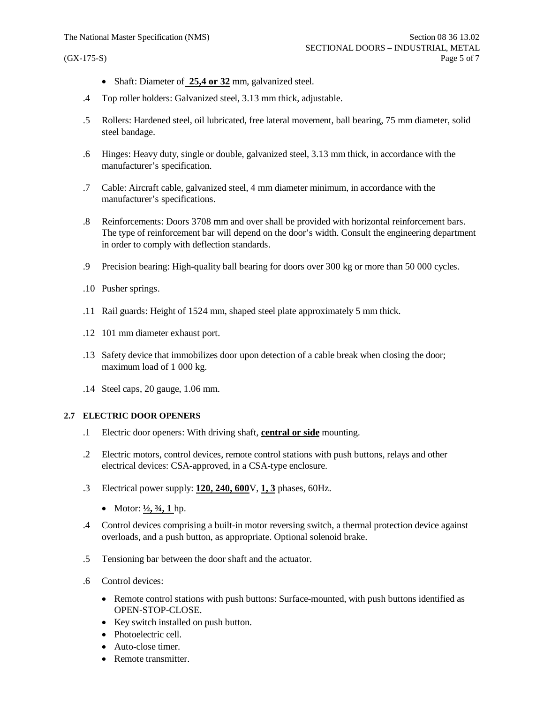- Shaft: Diameter of 25,4 or 32 mm, galvanized steel.
- .4 Top roller holders: Galvanized steel, 3.13 mm thick, adjustable.
- .5 Rollers: Hardened steel, oil lubricated, free lateral movement, ball bearing, 75 mm diameter, solid steel bandage.
- .6 Hinges: Heavy duty, single or double, galvanized steel, 3.13 mm thick, in accordance with the manufacturer's specification.
- .7 Cable: Aircraft cable, galvanized steel, 4 mm diameter minimum, in accordance with the manufacturer's specifications.
- .8 Reinforcements: Doors 3708 mm and over shall be provided with horizontal reinforcement bars. The type of reinforcement bar will depend on the door's width. Consult the engineering department in order to comply with deflection standards.
- .9 Precision bearing: High-quality ball bearing for doors over 300 kg or more than 50 000 cycles.
- .10 Pusher springs.
- .11 Rail guards: Height of 1524 mm, shaped steel plate approximately 5 mm thick.
- .12 101 mm diameter exhaust port.
- .13 Safety device that immobilizes door upon detection of a cable break when closing the door; maximum load of 1 000 kg.
- .14 Steel caps, 20 gauge, 1.06 mm.

#### **2.7 ELECTRIC DOOR OPENERS**

- .1 Electric door openers: With driving shaft, **central or side** mounting.
- .2 Electric motors, control devices, remote control stations with push buttons, relays and other electrical devices: CSA-approved, in a CSA-type enclosure.
- .3 Electrical power supply: **120, 240, 600**V, **1, 3** phases, 60Hz.
	- Motor:  $\frac{1}{2}$ ,  $\frac{3}{4}$ , 1 hp.
- .4 Control devices comprising a built-in motor reversing switch, a thermal protection device against overloads, and a push button, as appropriate. Optional solenoid brake.
- .5 Tensioning bar between the door shaft and the actuator.
- .6 Control devices:
	- Remote control stations with push buttons: Surface-mounted, with push buttons identified as OPEN-STOP-CLOSE.
	- · Key switch installed on push button.
	- Photoelectric cell.
	- Auto-close timer.
	- Remote transmitter.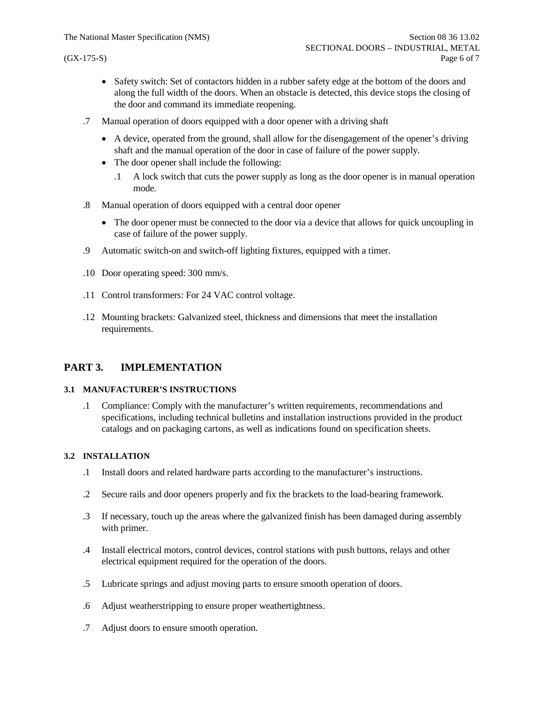- Safety switch: Set of contactors hidden in a rubber safety edge at the bottom of the doors and along the full width of the doors. When an obstacle is detected, this device stops the closing of the door and command its immediate reopening.
- .7 Manual operation of doors equipped with a door opener with a driving shaft
	- · A device, operated from the ground, shall allow for the disengagement of the opener's driving shaft and the manual operation of the door in case of failure of the power supply.
	- The door opener shall include the following:
		- .1 A lock switch that cuts the power supply as long as the door opener is in manual operation mode.
- .8 Manual operation of doors equipped with a central door opener
	- The door opener must be connected to the door via a device that allows for quick uncoupling in case of failure of the power supply.
- .9 Automatic switch-on and switch-off lighting fixtures, equipped with a timer.
- .10 Door operating speed: 300 mm/s.
- .11 Control transformers: For 24 VAC control voltage.
- .12 Mounting brackets: Galvanized steel, thickness and dimensions that meet the installation requirements.

# **PART 3. IMPLEMENTATION**

### **3.1 MANUFACTURER'S INSTRUCTIONS**

.1 Compliance: Comply with the manufacturer's written requirements, recommendations and specifications, including technical bulletins and installation instructions provided in the product catalogs and on packaging cartons, as well as indications found on specification sheets.

### **3.2 INSTALLATION**

- .1 Install doors and related hardware parts according to the manufacturer's instructions.
- .2 Secure rails and door openers properly and fix the brackets to the load-bearing framework.
- .3 If necessary, touch up the areas where the galvanized finish has been damaged during assembly with primer.
- .4 Install electrical motors, control devices, control stations with push buttons, relays and other electrical equipment required for the operation of the doors.
- .5 Lubricate springs and adjust moving parts to ensure smooth operation of doors.
- .6 Adjust weatherstripping to ensure proper weathertightness.
- .7 Adjust doors to ensure smooth operation.